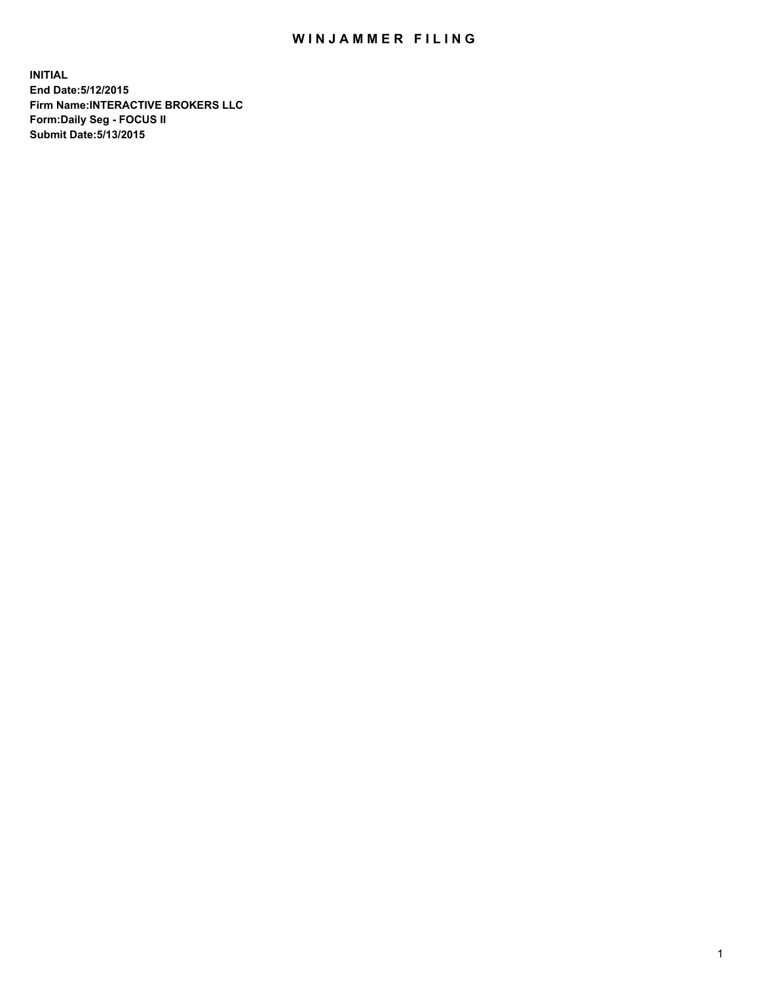## WIN JAMMER FILING

**INITIAL End Date:5/12/2015 Firm Name:INTERACTIVE BROKERS LLC Form:Daily Seg - FOCUS II Submit Date:5/13/2015**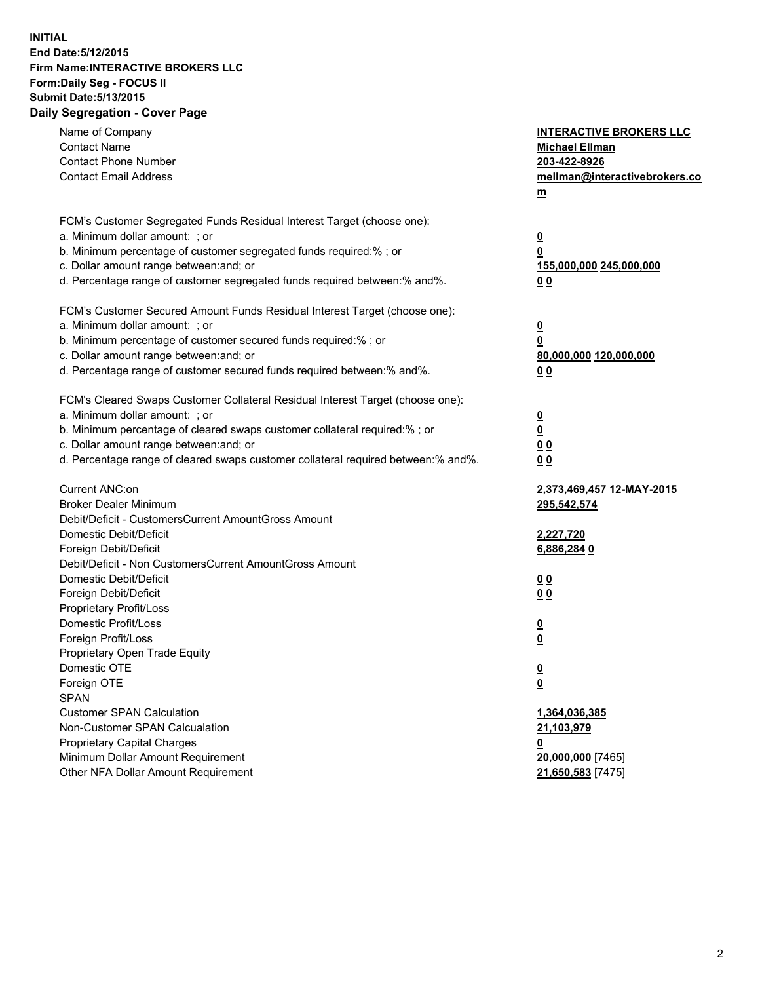## **INITIAL End Date:5/12/2015 Firm Name:INTERACTIVE BROKERS LLC Form:Daily Seg - FOCUS II Submit Date:5/13/2015 Daily Segregation - Cover Page**

| Name of Company                                                                   | <b>INTERACTIVE BROKERS LLC</b> |
|-----------------------------------------------------------------------------------|--------------------------------|
| <b>Contact Name</b>                                                               | <b>Michael Ellman</b>          |
| <b>Contact Phone Number</b>                                                       | 203-422-8926                   |
| <b>Contact Email Address</b>                                                      | mellman@interactivebrokers.co  |
|                                                                                   | $\underline{\mathbf{m}}$       |
| FCM's Customer Segregated Funds Residual Interest Target (choose one):            |                                |
| a. Minimum dollar amount: ; or                                                    | $\overline{\mathbf{0}}$        |
| b. Minimum percentage of customer segregated funds required:% ; or                | 0                              |
| c. Dollar amount range between: and; or                                           | 155,000,000 245,000,000        |
| d. Percentage range of customer segregated funds required between:% and%.         | 00                             |
| FCM's Customer Secured Amount Funds Residual Interest Target (choose one):        |                                |
| a. Minimum dollar amount: ; or                                                    | $\overline{\mathbf{0}}$        |
| b. Minimum percentage of customer secured funds required:% ; or                   | 0                              |
| c. Dollar amount range between: and; or                                           | 80,000,000 120,000,000         |
| d. Percentage range of customer secured funds required between:% and%.            | 00                             |
| FCM's Cleared Swaps Customer Collateral Residual Interest Target (choose one):    |                                |
| a. Minimum dollar amount: ; or                                                    | $\overline{\mathbf{0}}$        |
| b. Minimum percentage of cleared swaps customer collateral required:% ; or        | $\overline{\mathbf{0}}$        |
| c. Dollar amount range between: and; or                                           | 0 <sub>0</sub>                 |
| d. Percentage range of cleared swaps customer collateral required between:% and%. | 0 <sub>0</sub>                 |
|                                                                                   |                                |
| Current ANC:on                                                                    | 2,373,469,457 12-MAY-2015      |
| <b>Broker Dealer Minimum</b>                                                      | 295,542,574                    |
| Debit/Deficit - CustomersCurrent AmountGross Amount                               |                                |
| Domestic Debit/Deficit                                                            | 2,227,720                      |
| Foreign Debit/Deficit                                                             | 6,886,2840                     |
| Debit/Deficit - Non CustomersCurrent AmountGross Amount                           |                                |
| Domestic Debit/Deficit                                                            | 0 <sub>0</sub>                 |
| Foreign Debit/Deficit                                                             | 0 <sub>0</sub>                 |
| Proprietary Profit/Loss                                                           |                                |
| Domestic Profit/Loss                                                              | $\overline{\mathbf{0}}$        |
| Foreign Profit/Loss                                                               | $\underline{\mathbf{0}}$       |
| Proprietary Open Trade Equity                                                     |                                |
| Domestic OTE                                                                      | <u>0</u>                       |
| Foreign OTE                                                                       | <u>0</u>                       |
| <b>SPAN</b>                                                                       |                                |
| <b>Customer SPAN Calculation</b>                                                  | 1,364,036,385                  |
| Non-Customer SPAN Calcualation                                                    | 21,103,979                     |
| Proprietary Capital Charges                                                       | <u>0</u>                       |
| Minimum Dollar Amount Requirement                                                 | 20,000,000 [7465]              |
| Other NFA Dollar Amount Requirement                                               | 21,650,583 [7475]              |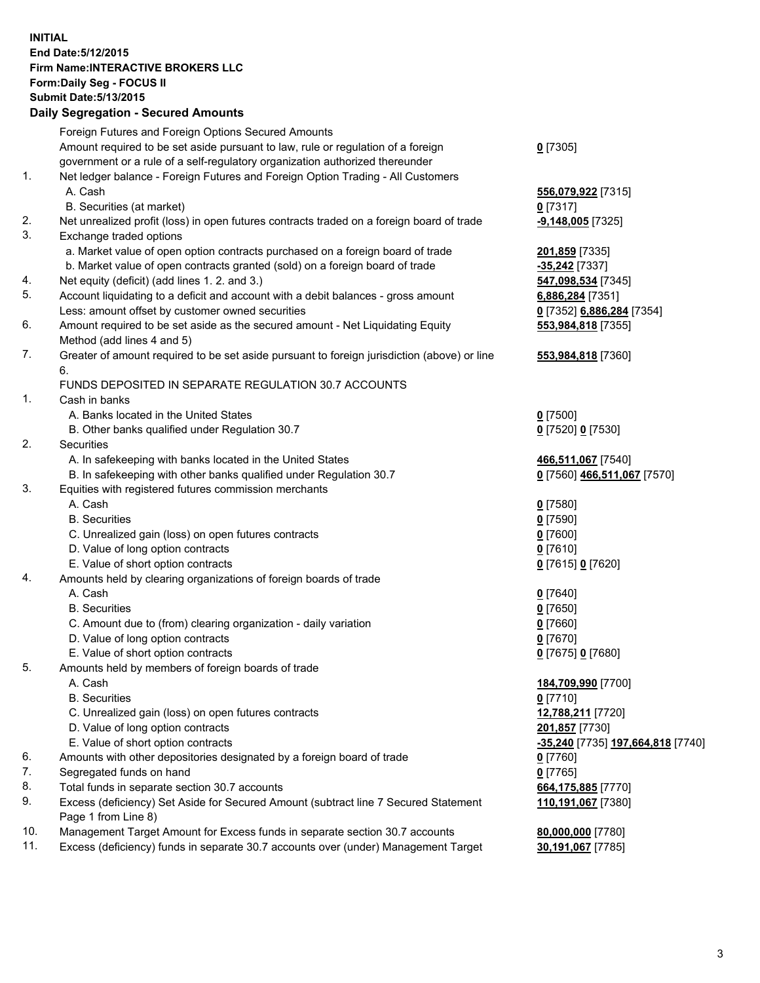## **INITIAL End Date:5/12/2015 Firm Name:INTERACTIVE BROKERS LLC Form:Daily Seg - FOCUS II Submit Date:5/13/2015 Daily Segregation - Secured Amounts**

|                | Dany Ocgregation - Oceanea Annoanta                                                         |                                   |
|----------------|---------------------------------------------------------------------------------------------|-----------------------------------|
|                | Foreign Futures and Foreign Options Secured Amounts                                         |                                   |
|                | Amount required to be set aside pursuant to law, rule or regulation of a foreign            | $0$ [7305]                        |
|                | government or a rule of a self-regulatory organization authorized thereunder                |                                   |
| $\mathbf{1}$ . | Net ledger balance - Foreign Futures and Foreign Option Trading - All Customers             |                                   |
|                | A. Cash                                                                                     | 556,079,922 [7315]                |
|                | B. Securities (at market)                                                                   | $0$ [7317]                        |
| 2.             | Net unrealized profit (loss) in open futures contracts traded on a foreign board of trade   | $-9,148,005$ [7325]               |
| 3.             | Exchange traded options                                                                     |                                   |
|                | a. Market value of open option contracts purchased on a foreign board of trade              | 201,859 [7335]                    |
|                | b. Market value of open contracts granted (sold) on a foreign board of trade                | -35,242 [7337]                    |
| 4.             | Net equity (deficit) (add lines 1.2. and 3.)                                                | 547,098,534 [7345]                |
| 5.             | Account liquidating to a deficit and account with a debit balances - gross amount           | 6,886,284 [7351]                  |
|                | Less: amount offset by customer owned securities                                            | 0 [7352] 6,886,284 [7354]         |
| 6.             | Amount required to be set aside as the secured amount - Net Liquidating Equity              | 553,984,818 [7355]                |
|                | Method (add lines 4 and 5)                                                                  |                                   |
| 7.             | Greater of amount required to be set aside pursuant to foreign jurisdiction (above) or line | 553,984,818 [7360]                |
|                | 6.                                                                                          |                                   |
|                | FUNDS DEPOSITED IN SEPARATE REGULATION 30.7 ACCOUNTS                                        |                                   |
| 1.             | Cash in banks                                                                               |                                   |
|                | A. Banks located in the United States                                                       | $0$ [7500]                        |
|                | B. Other banks qualified under Regulation 30.7                                              | 0 [7520] 0 [7530]                 |
| 2.             | Securities                                                                                  |                                   |
|                | A. In safekeeping with banks located in the United States                                   | 466,511,067 [7540]                |
|                | B. In safekeeping with other banks qualified under Regulation 30.7                          | 0 [7560] 466,511,067 [7570]       |
| 3.             | Equities with registered futures commission merchants                                       |                                   |
|                | A. Cash                                                                                     | $0$ [7580]                        |
|                | <b>B.</b> Securities                                                                        | $0$ [7590]                        |
|                | C. Unrealized gain (loss) on open futures contracts                                         | $0$ [7600]                        |
|                | D. Value of long option contracts                                                           | $0$ [7610]                        |
|                | E. Value of short option contracts                                                          | 0 [7615] 0 [7620]                 |
| 4.             | Amounts held by clearing organizations of foreign boards of trade                           |                                   |
|                | A. Cash                                                                                     | $0$ [7640]                        |
|                | <b>B.</b> Securities                                                                        | $0$ [7650]                        |
|                | C. Amount due to (from) clearing organization - daily variation                             | $0$ [7660]                        |
|                | D. Value of long option contracts                                                           | $0$ [7670]                        |
|                | E. Value of short option contracts                                                          | 0 [7675] 0 [7680]                 |
| 5.             | Amounts held by members of foreign boards of trade                                          |                                   |
|                | A. Cash                                                                                     | 184,709,990 [7700]                |
|                | <b>B.</b> Securities                                                                        | $0$ [7710]                        |
|                | C. Unrealized gain (loss) on open futures contracts                                         | 12,788,211 [7720]                 |
|                | D. Value of long option contracts                                                           | 201,857 [7730]                    |
|                | E. Value of short option contracts                                                          | -35,240 [7735] 197,664,818 [7740] |
| 6.             | Amounts with other depositories designated by a foreign board of trade                      | $0$ [7760]                        |
| 7.             |                                                                                             | $0$ [7765]                        |
|                | Segregated funds on hand                                                                    |                                   |
| 8.<br>9.       | Total funds in separate section 30.7 accounts                                               | 664,175,885 [7770]                |
|                | Excess (deficiency) Set Aside for Secured Amount (subtract line 7 Secured Statement         | 110,191,067 [7380]                |
|                | Page 1 from Line 8)                                                                         |                                   |
| 10.            | Management Target Amount for Excess funds in separate section 30.7 accounts                 | 80,000,000 [7780]                 |
| 11.            | Excess (deficiency) funds in separate 30.7 accounts over (under) Management Target          | 30,191,067 [7785]                 |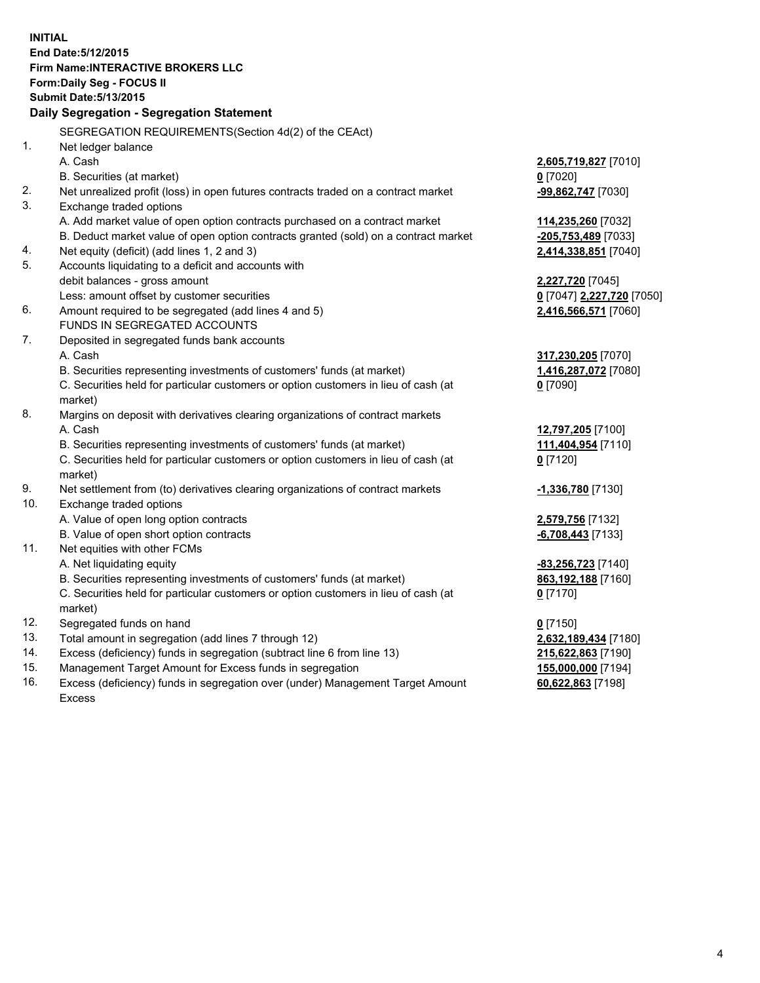**INITIAL End Date:5/12/2015 Firm Name:INTERACTIVE BROKERS LLC Form:Daily Seg - FOCUS II Submit Date:5/13/2015 Daily Segregation - Segregation Statement** SEGREGATION REQUIREMENTS(Section 4d(2) of the CEAct) 1. Net ledger balance A. Cash **2,605,719,827** [7010] B. Securities (at market) **0** [7020] 2. Net unrealized profit (loss) in open futures contracts traded on a contract market **-99,862,747** [7030] 3. Exchange traded options A. Add market value of open option contracts purchased on a contract market **114,235,260** [7032] B. Deduct market value of open option contracts granted (sold) on a contract market **-205,753,489** [7033] 4. Net equity (deficit) (add lines 1, 2 and 3) **2,414,338,851** [7040] 5. Accounts liquidating to a deficit and accounts with debit balances - gross amount **2,227,720** [7045] Less: amount offset by customer securities **0** [7047] **2,227,720** [7050] 6. Amount required to be segregated (add lines 4 and 5) **2,416,566,571** [7060] FUNDS IN SEGREGATED ACCOUNTS 7. Deposited in segregated funds bank accounts A. Cash **317,230,205** [7070] B. Securities representing investments of customers' funds (at market) **1,416,287,072** [7080] C. Securities held for particular customers or option customers in lieu of cash (at market) **0** [7090] 8. Margins on deposit with derivatives clearing organizations of contract markets A. Cash **12,797,205** [7100] B. Securities representing investments of customers' funds (at market) **111,404,954** [7110] C. Securities held for particular customers or option customers in lieu of cash (at market) **0** [7120] 9. Net settlement from (to) derivatives clearing organizations of contract markets **-1,336,780** [7130] 10. Exchange traded options A. Value of open long option contracts **2,579,756** [7132] B. Value of open short option contracts **-6,708,443** [7133] 11. Net equities with other FCMs A. Net liquidating equity **-83,256,723** [7140] B. Securities representing investments of customers' funds (at market) **863,192,188** [7160] C. Securities held for particular customers or option customers in lieu of cash (at market) **0** [7170] 12. Segregated funds on hand **0** [7150] 13. Total amount in segregation (add lines 7 through 12) **2,632,189,434** [7180] 14. Excess (deficiency) funds in segregation (subtract line 6 from line 13) **215,622,863** [7190] 15. Management Target Amount for Excess funds in segregation **155,000,000** [7194]

16. Excess (deficiency) funds in segregation over (under) Management Target Amount Excess

**60,622,863** [7198]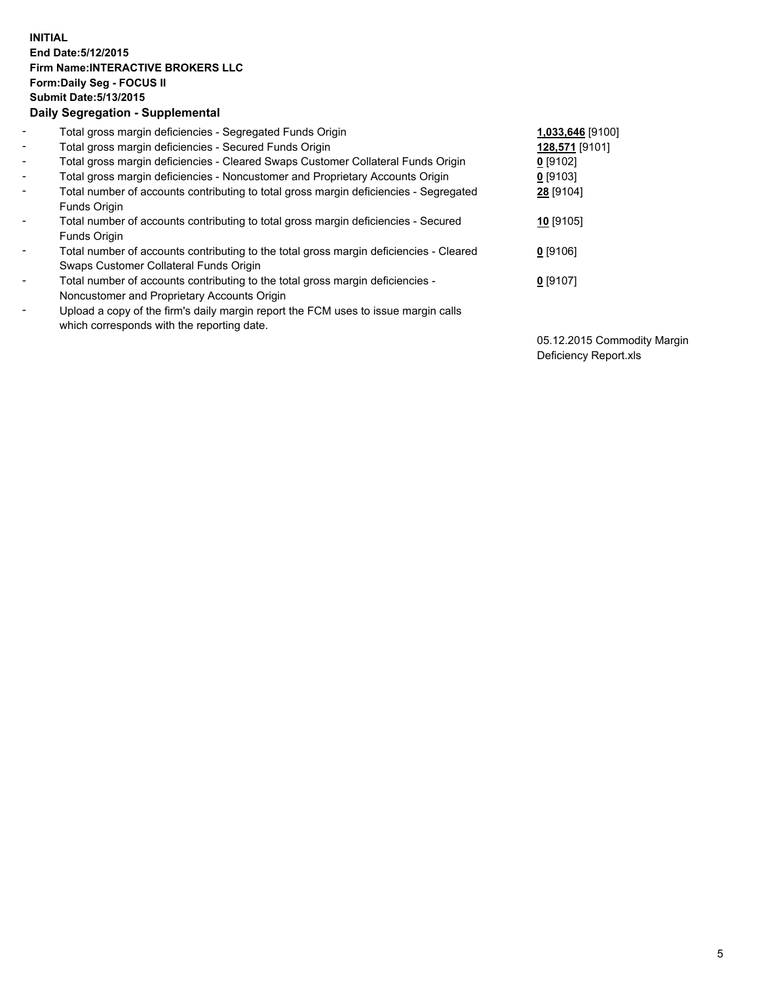## **INITIAL End Date:5/12/2015 Firm Name:INTERACTIVE BROKERS LLC Form:Daily Seg - FOCUS II Submit Date:5/13/2015 Daily Segregation - Supplemental**

| $\blacksquare$           | Total gross margin deficiencies - Segregated Funds Origin                              | 1,033,646 [9100] |
|--------------------------|----------------------------------------------------------------------------------------|------------------|
| $\sim$                   | Total gross margin deficiencies - Secured Funds Origin                                 | 128,571 [9101]   |
| $\blacksquare$           | Total gross margin deficiencies - Cleared Swaps Customer Collateral Funds Origin       | $0$ [9102]       |
| $\blacksquare$           | Total gross margin deficiencies - Noncustomer and Proprietary Accounts Origin          | $0$ [9103]       |
| $\blacksquare$           | Total number of accounts contributing to total gross margin deficiencies - Segregated  | 28 [9104]        |
|                          | Funds Origin                                                                           |                  |
| $\blacksquare$           | Total number of accounts contributing to total gross margin deficiencies - Secured     | 10 [9105]        |
|                          | Funds Origin                                                                           |                  |
| $\overline{\phantom{a}}$ | Total number of accounts contributing to the total gross margin deficiencies - Cleared | $0$ [9106]       |
|                          | Swaps Customer Collateral Funds Origin                                                 |                  |
| ۰                        | Total number of accounts contributing to the total gross margin deficiencies -         | 0 [9107]         |
|                          | Noncustomer and Proprietary Accounts Origin                                            |                  |
| $\blacksquare$           | Upload a copy of the firm's daily margin report the FCM uses to issue margin calls     |                  |
|                          | which corresponds with the reporting date.                                             |                  |

05.12.2015 Commodity Margin Deficiency Report.xls